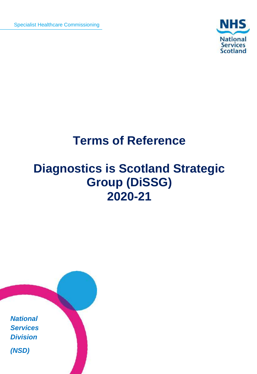Specialist Healthcare Commissioning



# **Terms of Reference**

# **Diagnostics is Scotland Strategic Group (DiSSG) 2020-21**

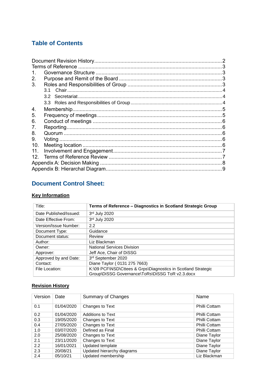## **Table of Contents**

| 2.<br>3.<br>3 1<br>4.<br>5. |
|-----------------------------|
|                             |
|                             |
|                             |
|                             |
|                             |
|                             |
|                             |
|                             |
|                             |
| 6.                          |
| 7.                          |
| 8.                          |
| 9.                          |
| 10.                         |
| 11.                         |
| 12.                         |
|                             |
|                             |

# <span id="page-1-0"></span>**Document Control Sheet:**

#### **Key Information**

| Title:                 | Terms of Reference - Diagnostics in Scotland Strategic Group                                                     |
|------------------------|------------------------------------------------------------------------------------------------------------------|
| Date Published/Issued: | 3rd July 2020                                                                                                    |
| Date Effective From:   | 3rd July 2020                                                                                                    |
| Version/Issue Number:  | 2.2                                                                                                              |
| Document Type:         | Guidance                                                                                                         |
| Document status:       | Review                                                                                                           |
| Author:                | Liz Blackman                                                                                                     |
| Owner:                 | <b>National Services Division</b>                                                                                |
| Approver:              | Jeff Ace. Chair of DiSSG                                                                                         |
| Approved by and Date:  | 3rd September 2020                                                                                               |
| Contact:               | Diane Taylor (0131 275 7663)                                                                                     |
| File Location:         | K:\09 PCF\NSD\Cttees & Grps\Diagnostics in Scotland Strategic<br>Group\DiSSG Governance\ToRs\DiSSG ToR v2.3.docx |

## **Revision History**

| Version | Date       | <b>Summary of Changes</b>  | Name          |
|---------|------------|----------------------------|---------------|
| 0.1     | 01/04/2020 | Changes to Text            | Philli Cottam |
| 0.2     | 01/04/2020 | <b>Additions to Text</b>   | Philli Cottam |
| 0.3     | 19/05/2020 | Changes to Text            | Philli Cottam |
| 0.4     | 27/05/2020 | Changes to Text            | Philli Cottam |
| 1.0     | 03/07/2020 | Defined as Final           | Philli Cottam |
| 2.0     | 25/08/2020 | Changes to Text            | Diane Taylor  |
| 2.1     | 23/11/2020 | Changes to Text            | Diane Taylor  |
| 2.2     | 16/01/2021 | Updated template           | Diane Taylor  |
| 2.3     | 20/08/21   | Updated hierarchy diagrams | Diane Taylor  |
| 2.4     | 05/10/21   | Updated membership         | Liz Blackman  |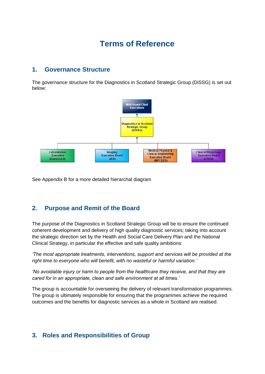# <span id="page-2-0"></span>**Terms of Reference**

#### <span id="page-2-1"></span>**1. Governance Structure**

 The governance structure for the Diagnostics in Scotland Strategic Group (DiSSG) is set out below:



See Appendix B for a more detailed hierarchal diagram

### <span id="page-2-2"></span> **2. Purpose and Remit of the Board**

 The purpose of the Diagnostics in Scotland Strategic Group will be to ensure the continued coherent development and delivery of high quality diagnostic services; taking into account the strategic direction set by the Health and Social Care Delivery Plan and the National Clinical Strategy, in particular the effective and safe quality ambitions:

 *'The most appropriate treatments, interventions, support and services will be provided at the right time to everyone who will benefit, with no wasteful or harmful variation.'*

 *'No avoidable injury or harm to people from the healthcare they receive, and that they are cared for in an appropriate, clean and safe environment at all times.'*

 The group is accountable for overseeing the delivery of relevant transformation programmes. The group is ultimately responsible for ensuring that the programmes achieve the required outcomes and the benefits for diagnostic services as a whole in Scotland are realised.

### <span id="page-2-3"></span> **3. Roles and Responsibilities of Group**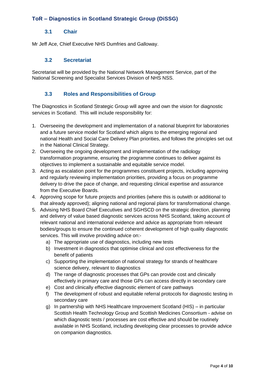#### **3.1 Chair**

<span id="page-3-0"></span>Mr Jeff Ace, Chief Executive NHS Dumfries and Galloway.

#### $3.2$ **3.2 Secretariat**

<span id="page-3-1"></span> Secretariat will be provided by the National Network Management Service, part of the National Screening and Specialist Services Division of NHS NSS.

#### 3.3 **3.3 Roles and Responsibilities of Group**

<span id="page-3-2"></span> The Diagnostics in Scotland Strategic Group will agree and own the vision for diagnostic services in Scotland. This will include responsibility for:

- 1. Overseeing the development and implementation of a national blueprint for laboratories and a future service model for Scotland which aligns to the emerging regional and national Health and Social Care Delivery Plan priorities, and follows the principles set out in the National Clinical Strategy.
- 2. Overseeing the ongoing development and implementation of the radiology objectives to implement a sustainable and equitable service model. transformation programme, ensuring the programme continues to deliver against its
- 3. Acting as escalation point for the programmes constituent projects, including approving and regularly reviewing implementation priorities, providing a focus on programme delivery to drive the pace of change, and requesting clinical expertise and assurance from the Executive Boards.
- 4. Approving scope for future projects and priorities (where this is outwith or additional to that already approved); aligning national and regional plans for transformational change.
- 5. Advising NHS Board Chief Executives and SGHSCD on the strategic direction, planning and delivery of value based diagnostic services across NHS Scotland, taking account of relevant national and international evidence and advice as appropriate from relevant bodies/groups to ensure the continued coherent development of high quality diagnostic services. This will involve providing advice on:-
	- a) The appropriate use of diagnostics, including new tests
	- b) Investment in diagnostics that optimise clinical and cost effectiveness for the benefit of patients
	- c) Supporting the implementation of national strategy for strands of healthcare science delivery, relevant to diagnostics
	- d) The range of diagnostic processes that GPs can provide cost and clinically effectively in primary care and those GPs can access directly in secondary care
	- e) Cost and clinically effective diagnostic element of care pathways
	- f) The development of robust and equitable referral protocols for diagnostic testing in secondary care
	- g) In partnership with NHS Healthcare Improvement Scotland (HIS) in particular Scottish Health Technology Group and Scottish Medicines Consortium - advise on which diagnostic tests / processes are cost effective and should be routinely available in NHS Scotland, including developing clear processes to provide advice on companion diagnostics.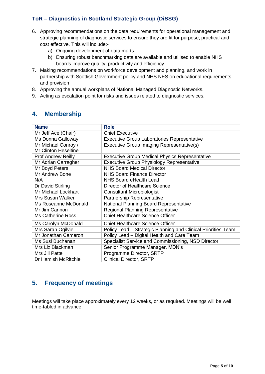- 6. Approving recommendations on the data requirements for operational management and strategic planning of diagnostic services to ensure they are fit for purpose, practical and cost effective. This will include:-
	- a) Ongoing development of data marts
	- b) Ensuring robust benchmarking data are available and utilised to enable NHS boards improve quality, productivity and efficiency
- 7. Making recommendations on workforce development and planning, and work in partnership with Scottish Government policy and NHS NES on educational requirements and provision
- 8. Approving the annual workplans of National Managed Diagnostic Networks.
- 9. Acting as escalation point for risks and issues related to diagnostic services.

#### <span id="page-4-0"></span>**4. Membership**

| <b>Name</b>                 | <b>Role</b>                                                   |
|-----------------------------|---------------------------------------------------------------|
| Mr Jeff Ace (Chair)         | <b>Chief Executive</b>                                        |
| Ms Donna Galloway           | <b>Executive Group Laboratories Representative</b>            |
| Mr Michael Conroy /         | Executive Group Imaging Representative(s)                     |
| <b>Mr Clinton Heseltine</b> |                                                               |
| <b>Prof Andrew Reilly</b>   | <b>Executive Group Medical Physics Representative</b>         |
| Mr Adrian Carragher         | <b>Executive Group Physiology Representative</b>              |
| Mr Boyd Peters              | <b>NHS Board Medical Director</b>                             |
| Mr Andrew Bone              | <b>NHS Board Finance Director</b>                             |
| N/A                         | NHS Board eHealth Lead                                        |
| Dr David Stirling           | Director of Healthcare Science                                |
| Mr Michael Lockhart         | <b>Consultant Microbiologist</b>                              |
| Mrs Susan Walker            | Partnership Representative                                    |
| Ms Roseanne McDonald        | National Planning Board Representative                        |
| Mr Jim Cannon               | <b>Regional Planning Representative</b>                       |
| <b>Ms Catherine Ross</b>    | <b>Chief Healthcare Science Officer</b>                       |
| Ms Carolyn McDonald         | <b>Chief Healthcare Science Officer</b>                       |
| Mrs Sarah Ogilvie           | Policy Lead - Strategic Planning and Clinical Priorities Team |
| Mr Jonathan Cameron         | Policy Lead - Digital Health and Care Team                    |
| Ms Susi Buchanan            | Specialist Service and Commissioning, NSD Director            |
| Mrs Liz Blackman            | Senior Programme Manager, MDN's                               |
| Mrs Jill Patte              | Programme Director, SRTP                                      |
| Dr Hamish McRitchie         | <b>Clinical Director, SRTP</b>                                |

### <span id="page-4-1"></span>**5. Frequency of meetings**

 Meetings will take place approximately every 12 weeks, or as required. Meetings will be well time-tabled in advance.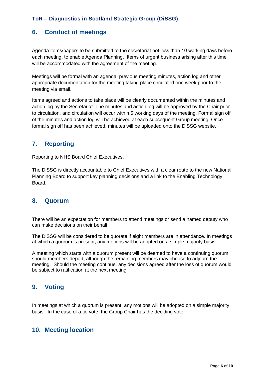#### **6. Conduct of meetings**

<span id="page-5-0"></span> Agenda items/papers to be submitted to the secretariat not less than 10 working days before each meeting, to enable Agenda Planning. Items of urgent business arising after this time will be accommodated with the agreement of the meeting.

 Meetings will be formal with an agenda, previous meeting minutes, action log and other appropriate documentation for the meeting taking place circulated one week prior to the meeting via email.

 Items agreed and actions to take place will be clearly documented within the minutes and action log by the Secretariat. The minutes and action log will be approved by the Chair prior to circulation, and circulation will occur within 5 working days of the meeting. Formal sign off of the minutes and action log will be achieved at each subsequent Group meeting. Once formal sign off has been achieved, minutes will be uploaded onto the DiSSG website.

#### <span id="page-5-1"></span>**7. Reporting**

Reporting to NHS Board Chief Executives.

 The DiSSG is directly accountable to Chief Executives with a clear route to the new National Planning Board to support key planning decisions and a link to the Enabling Technology Board.

#### <span id="page-5-2"></span>**8. Quorum**

 There will be an expectation for members to attend meetings or send a named deputy who can make decisions on their behalf.

 The DiSSG will be considered to be quorate if eight members are in attendance. In meetings at which a quorum is present, any motions will be adopted on a simple majority basis.

 A meeting which starts with a quorum present will be deemed to have a continuing quorum should members depart, although the remaining members may choose to adjourn the meeting. Should the meeting continue, any decisions agreed after the loss of quorum would be subject to ratification at the next meeting

#### <span id="page-5-3"></span>**9. Voting**

 In meetings at which a quorum is present, any motions will be adopted on a simple majority basis. In the case of a tie vote, the Group Chair has the deciding vote.

#### <span id="page-5-4"></span>**10. Meeting location**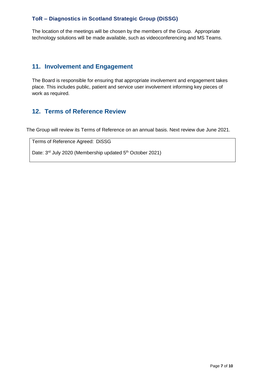The location of the meetings will be chosen by the members of the Group. Appropriate technology solutions will be made available, such as videoconferencing and MS Teams.

#### <span id="page-6-0"></span>**11. Involvement and Engagement**

 The Board is responsible for ensuring that appropriate involvement and engagement takes place. This includes public, patient and service user involvement informing key pieces of work as required.

### <span id="page-6-1"></span>**12. Terms of Reference Review**

The Group will review its Terms of Reference on an annual basis. Next review due June 2021.

Terms of Reference Agreed: DiSSG

Date: 3<sup>rd</sup> July 2020 (Membership updated 5<sup>th</sup> October 2021)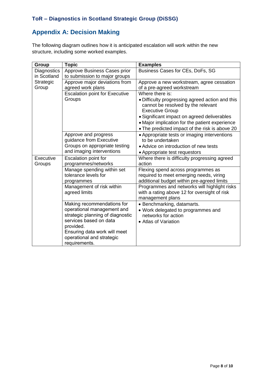### **Appendix A: Decision Making**

<span id="page-7-0"></span> The following diagram outlines how it is anticipated escalation will work within the new structure, including some worked examples.

| Group       | <b>Topic</b>                                    | <b>Examples</b>                                                                                                 |
|-------------|-------------------------------------------------|-----------------------------------------------------------------------------------------------------------------|
| Diagnostics | Approve Business Cases prior                    | Business Cases for CEs, DoFs, SG                                                                                |
| in Scotland | to submission to major groups                   |                                                                                                                 |
| Strategic   | Approve major deviations from                   | Approve a new workstream, agree cessation                                                                       |
| Group       | agreed work plans                               | of a pre-agreed workstream                                                                                      |
|             | <b>Escalation point for Executive</b>           | Where there is:                                                                                                 |
|             | Groups                                          | • Difficulty progressing agreed action and this<br>cannot be resolved by the relevant<br><b>Executive Group</b> |
|             |                                                 | • Significant impact on agreed deliverables                                                                     |
|             |                                                 | · Major implication for the patient experience                                                                  |
|             |                                                 | . The predicted impact of the risk is above 20                                                                  |
|             | Approve and progress<br>guidance from Executive | • Appropriate tests or imaging interventions<br>to be undertaken                                                |
|             | Groups on appropriate testing                   | • Advice on introduction of new tests                                                                           |
|             | and imaging interventions                       | • Appropriate test requestors                                                                                   |
| Executive   | Escalation point for                            | Where there is difficulty progressing agreed                                                                    |
| Groups      | programmes/networks                             | action                                                                                                          |
|             | Manage spending within set                      | Flexing spend across programmes as                                                                              |
|             | tolerance levels for                            | required to meet emerging needs, viring                                                                         |
|             | programmes                                      | additional budget within pre-agreed limits                                                                      |
|             | Management of risk within                       | Programmes and networks will highlight risks                                                                    |
|             | agreed limits                                   | with a rating above 12 for oversight of risk<br>management plans                                                |
|             | Making recommendations for                      | • Benchmarking, datamarts.                                                                                      |
|             | operational management and                      | • Work delegated to programmes and                                                                              |
|             | strategic planning of diagnostic                | networks for action                                                                                             |
|             | services based on data                          | • Atlas of Variation                                                                                            |
|             | provided.                                       |                                                                                                                 |
|             | Ensuring data work will meet                    |                                                                                                                 |
|             | operational and strategic                       |                                                                                                                 |
|             | requirements.                                   |                                                                                                                 |